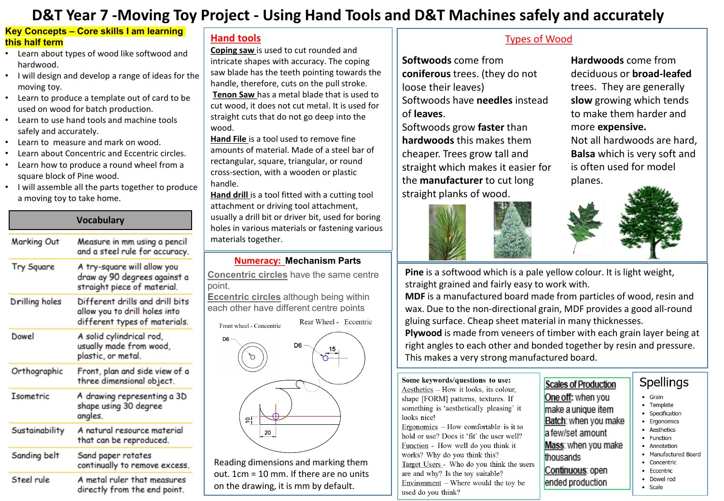# **D&T Year 7 -Moving Toy Project - Using Hand Tools and D&T Machines safely and accurately**

#### **Key Concepts – Core skills I am learning this half term**

- Learn about types of wood like softwood and hardwood.
- I will design and develop a range of ideas for the moving toy.
- Learn to produce a template out of card to be used on wood for batch production.
- Learn to use hand tools and machine tools safely and accurately.
- Learn to measure and mark on wood.
- Learn about Concentric and Eccentric circles.
- Learn how to produce a round wheel from a square block of Pine wood.
- I will assemble all the parts together to produce a moving toy to take home.

|                  | <b>Vocabulary</b>                                                                                 |  |  |  |
|------------------|---------------------------------------------------------------------------------------------------|--|--|--|
| Marking Out      | Measure in mm using a pencil<br>and a steel rule for accuracy.                                    |  |  |  |
| Try Square       | A try-square will allow you<br>draw ay 90 degrees against a<br>straight piece of material.        |  |  |  |
| Drilling holes   | Different drills and drill bits<br>allow you to drill holes into<br>different types of materials. |  |  |  |
| Dowel            | A solid cylindrical rod,<br>usually made from wood,<br>plastic, or metal.                         |  |  |  |
| Orthographic     | Front, plan and side view of a<br>three dimensional object.                                       |  |  |  |
| <b>Isometric</b> | A drawing representing a 3D<br>shape using 30 degree<br>angles.                                   |  |  |  |
| Sustainability   | A natural resource material<br>that can be reproduced.                                            |  |  |  |
| Sanding belt     | Sand paper rotates<br>continually to remove excess.                                               |  |  |  |
| Steel rule       | A metal ruler that measures<br>directly from the end point.                                       |  |  |  |

#### **Hand tools**

**Coping saw** is used to cut rounded and intricate shapes with accuracy. The coping saw blade has the teeth pointing towards the handle, therefore, cuts on the pull stroke. **Tenon Saw** has a metal blade that is used to cut wood, it does not cut metal. It is used for straight cuts that do not go deep into the wood.

**Hand File** is a tool used to remove fine amounts of material. Made of a steel bar of rectangular, square, triangular, or round cross-section, with a wooden or plastic handle.

**Hand drill** is a tool fitted with a cutting tool attachment or driving tool attachment, usually a drill bit or driver bit, used for boring holes in various materials or fastening various materials together.

#### **Numeracy: Mechanism Parts**

**Concentric circles** have the same centre point.

**Eccentric circles** although being within each other have different centre points

Rear Wheel - Eccentric Front wheel - Concentric



Reading dimensions and marking them out. 1cm = 10 mm. If there are no units on the drawing, it is mm by default.

### **–** Types of Wood

**Softwoods** come from **coniferous** trees. (they do not loose their leaves) Softwoods have **needles** instead of **leaves**.

Softwoods grow **faster** than **hardwoods** this makes them cheaper. Trees grow tall and straight which makes it easier for the **manufacturer** to cut long straight planks of wood.



**Hardwoods** come from deciduous or **broad-leafed** trees. They are generally **slow** growing which tends to make them harder and more **expensive.** Not all hardwoods are hard, **Balsa** which is very soft and is often used for model planes.



**Pine** is a softwood which is a pale yellow colour. It is light weight, straight grained and fairly easy to work with.

**MDF** is a manufactured board made from particles of wood, resin and wax. Due to the non-directional grain, MDF provides a good all-round gluing surface. Cheap sheet material in many thicknesses.

**Plywood** is made from veneers of timber with each grain layer being at right angles to each other and bonded together by resin and pressure. This makes a very strong manufactured board.

thousands

Continuous: open

ended production

#### Some keywords/questions to use:

Aesthetics - How it looks, its colour, shape [FORM] patterns, textures. If something is 'aesthetically pleasing' it looks nice! Ergonomics  $-$  How comfortable is it to hold or use? Does it 'fit' the user well? Function - How well do you think it works? Why do you think this? Target Users - Who do you think the users are and why? Is the toy suitable?  $Environment - Where would the toy be$ used do you think?

## Scales of Production

- One off: when you  $\bullet$  Grain • Template make a unique item • Specification Batch: when you make • Ergonomics • Aesthetics a few/set amount • Function Mass: when you make
	- Annotation
		- Manufactured Board • Concentric

**Spellings** 

- 
- Eccentric
- Dowel rod • Scale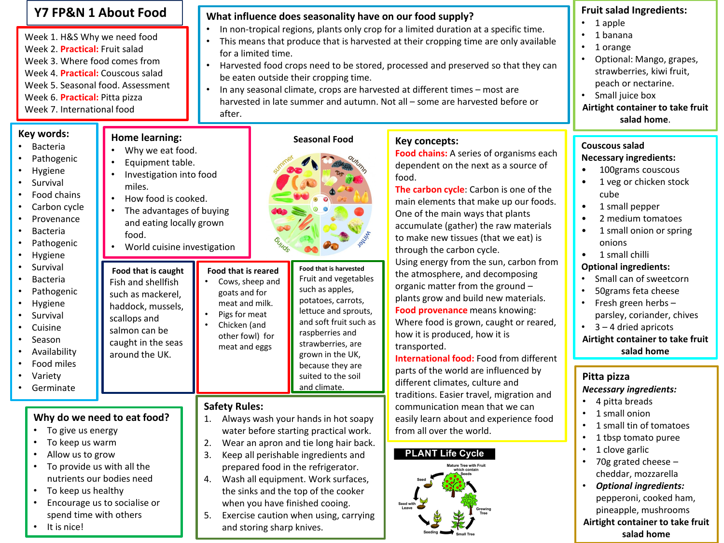#### **Y7 FP&N 1 About Food**

Week 1. H&S Why we need food Week 2. **Practical:** Fruit salad Week 3. Where food comes from Week 4. **Practical:** Couscous salad Week 5. Seasonal food. Assessment Week 6. **Practical:** Pitta pizza Week 7. International food

> **Home learning:** Why we eat food. • Equipment table.

> > miles.

food.

**Food that is caught** Fish and shellfish such as mackerel, haddock, mussels, scallops and salmon can be caught in the seas around the UK.

• Investigation into food

• World cuisine investigation

• How food is cooked. The advantages of buying and eating locally grown

#### **What influence does seasonality have on our food supply?**

- In non-tropical regions, plants only crop for a limited duration at a specific time.
- This means that produce that is harvested at their cropping time are only available for a limited time.
- Harvested food crops need to be stored, processed and preserved so that they can be eaten outside their cropping time.
- In any seasonal climate, crops are harvested at different times most are harvested in late summer and autumn. Not all – some are harvested before or after.

#### **Key words:**

- Bacteria
- Pathogenic
- Hygiene
- **Survival**
- Food chains
- Carbon cycle
- **Provenance**
- **Bacteria**
- **Pathogenic**
- Hygiene
- **Survival Bacteria**
- **Pathogenic**
- Hygiene
- Survival
- Cuisine
- Season
- Availability
- Food miles
- Variety
- **Germinate**

#### **Why do we need to eat food?**

- To give us energy
- To keep us warm
- Allow us to grow
- To provide us with all the nutrients our bodies need
- To keep us healthy
- Encourage us to socialise or spend time with others
- It is nice!



**Food that is harvested** Fruit and vegetables such as apples, potatoes, carrots, lettuce and sprouts, and soft fruit such as raspberries and strawberries, are grown in the UK, because they are suited to the soil and climate. **Food that is reared** Cows, sheep and goats and for meat and milk. Pigs for meat • Chicken (and other fowl) for meat and eggs

#### **Safety Rules:**

- 1. Always wash your hands in hot soapy water before starting practical work.
- 2. Wear an apron and tie long hair back.
- 3. Keep all perishable ingredients and prepared food in the refrigerator.
- 4. Wash all equipment. Work surfaces, the sinks and the top of the cooker when you have finished cooing.
- 5. Exercise caution when using, carrying and storing sharp knives.

#### **Key concepts:**

**Food chains:** A series of organisms each dependent on the next as a source of food.

**The carbon cycle**: Carbon is one of the main elements that make up our foods. One of the main ways that plants accumulate (gather) the raw materials to make new tissues (that we eat) is through the carbon cycle. Using energy from the sun, carbon from the atmosphere, and decomposing organic matter from the ground – plants grow and build new materials. **Food provenance** means knowing: Where food is grown, caught or reared, how it is produced, how it is transported.

**International food:** Food from different parts of the world are influenced by different climates, culture and traditions. Easier travel, migration and communication mean that we can easily learn about and experience food from all over the world.

# **PLANT Life Cycle**



#### **Fruit salad Ingredients:**

- 1 apple
- 1 banana
- 1 orange
- Optional: Mango, grapes, strawberries, kiwi fruit, peach or nectarine.
- Small juice box

**Airtight container to take fruit salad home**.

#### **Couscous salad Necessary ingredients:**

- 100grams couscous
- 1 veg or chicken stock cube
- 1 small pepper
- 2 medium tomatoes
- 1 small onion or spring onions
- 1 small chilli

#### **Optional ingredients:**

- Small can of sweetcorn
- 50grams feta cheese
- Fresh green herbs parsley, coriander, chives
- 3 4 dried apricots

**Airtight container to take fruit salad home**

#### **Pitta pizza** *Necessary ingredients:*

- 4 pitta breads
- 1 small onion
- 1 small tin of tomatoes
- 1 tbsp tomato puree
- 1 clove garlic
- 70g grated cheese cheddar, mozzarella
- *Optional ingredients:* pepperoni, cooked ham, pineapple, mushrooms **Airtight container to take fruit salad home**